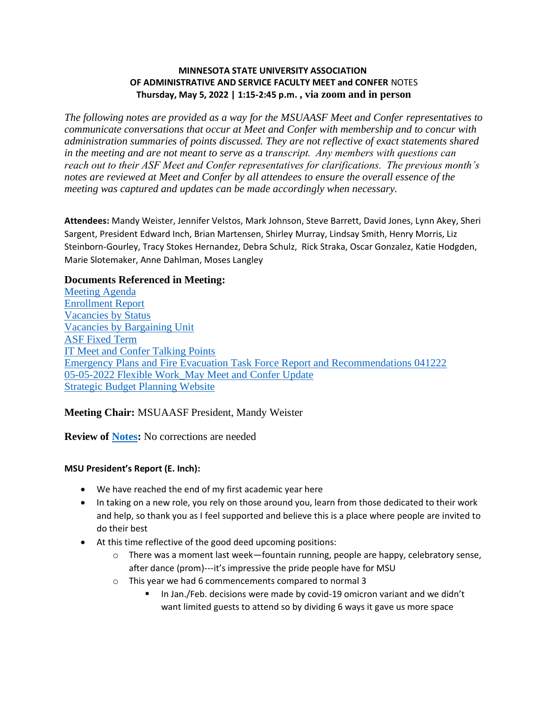### **MINNESOTA STATE UNIVERSITY ASSOCIATION OF ADMINISTRATIVE AND SERVICE FACULTY MEET and CONFER** NOTES **Thursday, May 5, 2022 | 1:15-2:45 p.m. , via zoom and in person**

*The following notes are provided as a way for the MSUAASF Meet and Confer representatives to communicate conversations that occur at Meet and Confer with membership and to concur with administration summaries of points discussed. They are not reflective of exact statements shared in the meeting and are not meant to serve as a transcript.  Any members with questions can reach out to their ASF Meet and Confer representatives for clarifications.  The previous month's notes are reviewed at Meet and Confer by all attendees to ensure the overall essence of the meeting was captured and updates can be made accordingly when necessary.*

**Attendees:** Mandy Weister, Jennifer Velstos, Mark Johnson, Steve Barrett, David Jones, Lynn Akey, Sheri Sargent, President Edward Inch, Brian Martensen, Shirley Murray, Lindsay Smith, Henry Morris, Liz Steinborn-Gourley, Tracy Stokes Hernandez, Debra Schulz, Rick Straka, Oscar Gonzalez, Katie Hodgden, Marie Slotemaker, Anne Dahlman, Moses Langley

### **Documents Referenced in Meeting:**

[Meeting Agenda](https://mnscu-my.sharepoint.com/:w:/g/personal/dy6217wl_minnstate_edu/EVZGZ50YkWNPgY1leEBBrH4BCZuKNqcd_VI5c0EEAL9ABQ?e=e5RQ8I) [Enrollment Report](https://mnscu-my.sharepoint.com/:w:/g/personal/dy6217wl_minnstate_edu/EXc16tvF7uhHu6WzWb43l1oBSWRKVzqbVsS9pvcsDehacg?e=fjXPbt) [Vacancies by Status](https://mnscu-my.sharepoint.com/:b:/g/personal/dy6217wl_minnstate_edu/Ee-NMuZg2wpOlM1hK3_rQ_wBXxjFObEZ7ppPB8usaL9kGA?e=jVWswr) [Vacancies by Bargaining Unit](https://mnscu-my.sharepoint.com/:b:/g/personal/dy6217wl_minnstate_edu/EezxL-A-BVtPrC3D-qgrwOoByo2DSw9_8NIqRgEkXfnTSg?e=oiRaHw) [ASF Fixed Term](https://mnscu-my.sharepoint.com/:b:/g/personal/dy6217wl_minnstate_edu/EdPipwrcpoFGmUSfzpysPq8Bi7jSx4iQjZ_gg7O4E8YsJw?e=2EgbYK) [IT Meet and Confer Talking Points](https://mnscu-my.sharepoint.com/:b:/g/personal/dy6217wl_minnstate_edu/EYAZG89h4qlAjMxUklsPY_gBmh3Jo6ntI0kcaKcN22D7ag?e=bNWanb) [Emergency Plans and Fire Evacuation Task Force Report and Recommendations 041222](https://mnscu-my.sharepoint.com/:w:/g/personal/dy6217wl_minnstate_edu/Ee40kNJMCKhGpaKI0U-rrqIB-QpRTypMPXnbwjxFb-Wmmw?e=FG1hle) [05-05-2022 Flexible Work\\_May Meet and Confer Update](https://mnscu-my.sharepoint.com/:b:/g/personal/dy6217wl_minnstate_edu/EVQhFQxnWYpJt8uL9SPdkqgBctx_Cax3INDQ9h01eY0JuQ?e=Dt5WBu) [Strategic Budget Planning Website](https://www.mnsu.edu/about-the-university/student-success-analytics-and-integrated-planning/integrated-planning/strategic-budget-planning/)

## **Meeting Chair:** MSUAASF President, Mandy Weister

**Review of [Notes:](https://mnscu-my.sharepoint.com/:b:/g/personal/dy6217wl_minnstate_edu/EZUO0glt7PhGh7EEcbVdQdwBe2dowxpKnYzj7YluMooF2Q?e=vjwhu8)** No corrections are needed

#### **MSU President's Report (E. Inch):**

- We have reached the end of my first academic year here
- In taking on a new role, you rely on those around you, learn from those dedicated to their work and help, so thank you as I feel supported and believe this is a place where people are invited to do their best
- At this time reflective of the good deed upcoming positions:
	- $\circ$  There was a moment last week—fountain running, people are happy, celebratory sense, after dance (prom)---it's impressive the pride people have for MSU
	- o This year we had 6 commencements compared to normal 3
		- In Jan./Feb. decisions were made by covid-19 omicron variant and we didn't want limited guests to attend so by dividing 6 ways it gave us more space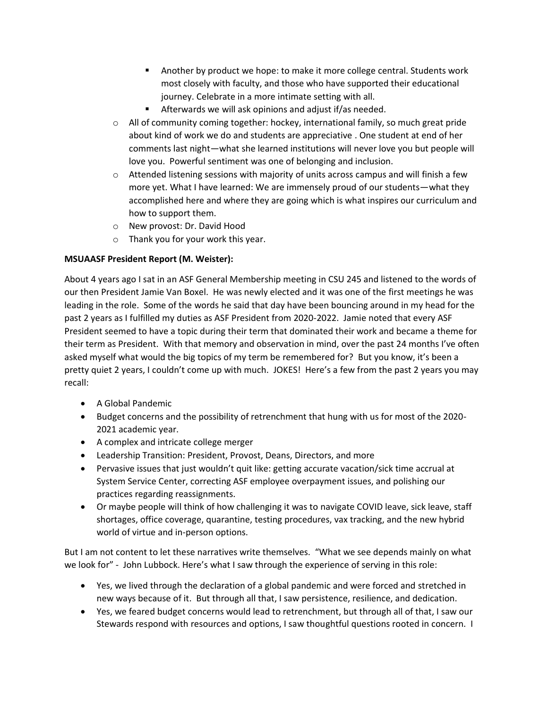- Another by product we hope: to make it more college central. Students work most closely with faculty, and those who have supported their educational journey. Celebrate in a more intimate setting with all.
- Afterwards we will ask opinions and adjust if/as needed.
- $\circ$  All of community coming together: hockey, international family, so much great pride about kind of work we do and students are appreciative . One student at end of her comments last night—what she learned institutions will never love you but people will love you. Powerful sentiment was one of belonging and inclusion.
- $\circ$  Attended listening sessions with majority of units across campus and will finish a few more yet. What I have learned: We are immensely proud of our students—what they accomplished here and where they are going which is what inspires our curriculum and how to support them.
- o New provost: Dr. David Hood
- o Thank you for your work this year.

# **MSUAASF President Report (M. Weister):**

About 4 years ago I sat in an ASF General Membership meeting in CSU 245 and listened to the words of our then President Jamie Van Boxel. He was newly elected and it was one of the first meetings he was leading in the role. Some of the words he said that day have been bouncing around in my head for the past 2 years as I fulfilled my duties as ASF President from 2020-2022. Jamie noted that every ASF President seemed to have a topic during their term that dominated their work and became a theme for their term as President. With that memory and observation in mind, over the past 24 months I've often asked myself what would the big topics of my term be remembered for? But you know, it's been a pretty quiet 2 years, I couldn't come up with much. JOKES! Here's a few from the past 2 years you may recall:

- A Global Pandemic
- Budget concerns and the possibility of retrenchment that hung with us for most of the 2020- 2021 academic year.
- A complex and intricate college merger
- Leadership Transition: President, Provost, Deans, Directors, and more
- Pervasive issues that just wouldn't quit like: getting accurate vacation/sick time accrual at System Service Center, correcting ASF employee overpayment issues, and polishing our practices regarding reassignments.
- Or maybe people will think of how challenging it was to navigate COVID leave, sick leave, staff shortages, office coverage, quarantine, testing procedures, vax tracking, and the new hybrid world of virtue and in-person options.

But I am not content to let these narratives write themselves. "What we see depends mainly on what we look for" - John Lubbock. Here's what I saw through the experience of serving in this role:

- Yes, we lived through the declaration of a global pandemic and were forced and stretched in new ways because of it. But through all that, I saw persistence, resilience, and dedication.
- Yes, we feared budget concerns would lead to retrenchment, but through all of that, I saw our Stewards respond with resources and options, I saw thoughtful questions rooted in concern. I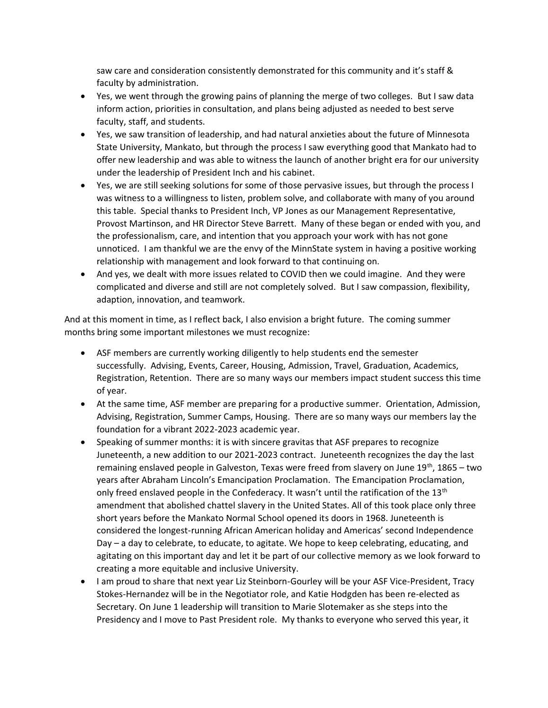saw care and consideration consistently demonstrated for this community and it's staff & faculty by administration.

- Yes, we went through the growing pains of planning the merge of two colleges. But I saw data inform action, priorities in consultation, and plans being adjusted as needed to best serve faculty, staff, and students.
- Yes, we saw transition of leadership, and had natural anxieties about the future of Minnesota State University, Mankato, but through the process I saw everything good that Mankato had to offer new leadership and was able to witness the launch of another bright era for our university under the leadership of President Inch and his cabinet.
- Yes, we are still seeking solutions for some of those pervasive issues, but through the process I was witness to a willingness to listen, problem solve, and collaborate with many of you around this table. Special thanks to President Inch, VP Jones as our Management Representative, Provost Martinson, and HR Director Steve Barrett. Many of these began or ended with you, and the professionalism, care, and intention that you approach your work with has not gone unnoticed. I am thankful we are the envy of the MinnState system in having a positive working relationship with management and look forward to that continuing on.
- And yes, we dealt with more issues related to COVID then we could imagine. And they were complicated and diverse and still are not completely solved. But I saw compassion, flexibility, adaption, innovation, and teamwork.

And at this moment in time, as I reflect back, I also envision a bright future. The coming summer months bring some important milestones we must recognize:

- ASF members are currently working diligently to help students end the semester successfully. Advising, Events, Career, Housing, Admission, Travel, Graduation, Academics, Registration, Retention. There are so many ways our members impact student success this time of year.
- At the same time, ASF member are preparing for a productive summer. Orientation, Admission, Advising, Registration, Summer Camps, Housing. There are so many ways our members lay the foundation for a vibrant 2022-2023 academic year.
- Speaking of summer months: it is with sincere gravitas that ASF prepares to recognize Juneteenth, a new addition to our 2021-2023 contract. Juneteenth recognizes the day the last remaining enslaved people in Galveston, Texas were freed from slavery on June 19<sup>th</sup>, 1865 – two years after Abraham Lincoln's Emancipation Proclamation. The Emancipation Proclamation, only freed enslaved people in the Confederacy. It wasn't until the ratification of the 13<sup>th</sup> amendment that abolished chattel slavery in the United States. All of this took place only three short years before the Mankato Normal School opened its doors in 1968. Juneteenth is considered the longest-running African American holiday and Americas' second Independence Day – a day to celebrate, to educate, to agitate. We hope to keep celebrating, educating, and agitating on this important day and let it be part of our collective memory as we look forward to creating a more equitable and inclusive University.
- I am proud to share that next year Liz Steinborn-Gourley will be your ASF Vice-President, Tracy Stokes-Hernandez will be in the Negotiator role, and Katie Hodgden has been re-elected as Secretary. On June 1 leadership will transition to Marie Slotemaker as she steps into the Presidency and I move to Past President role. My thanks to everyone who served this year, it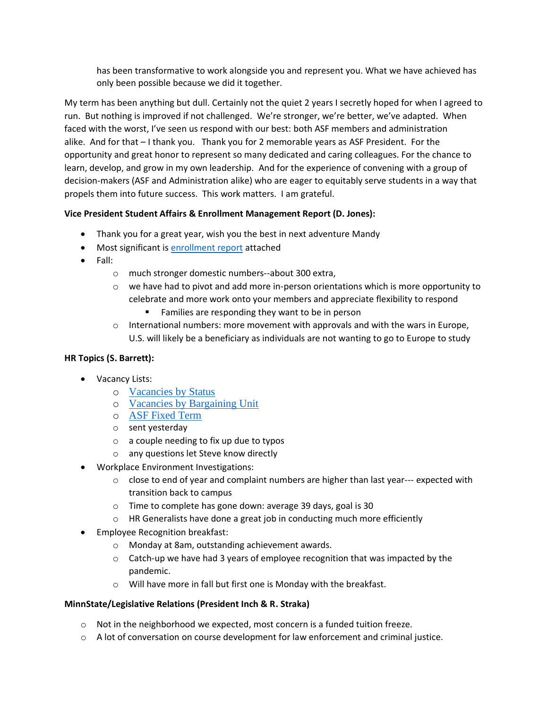has been transformative to work alongside you and represent you. What we have achieved has only been possible because we did it together.

My term has been anything but dull. Certainly not the quiet 2 years I secretly hoped for when I agreed to run. But nothing is improved if not challenged. We're stronger, we're better, we've adapted. When faced with the worst, I've seen us respond with our best: both ASF members and administration alike. And for that – I thank you. Thank you for 2 memorable years as ASF President. For the opportunity and great honor to represent so many dedicated and caring colleagues. For the chance to learn, develop, and grow in my own leadership. And for the experience of convening with a group of decision-makers (ASF and Administration alike) who are eager to equitably serve students in a way that propels them into future success. This work matters. I am grateful.

## **Vice President Student Affairs & Enrollment Management Report (D. Jones):**

- Thank you for a great year, wish you the best in next adventure Mandy
- Most significant is [enrollment report](https://mnscu-my.sharepoint.com/:w:/g/personal/dy6217wl_minnstate_edu/EXc16tvF7uhHu6WzWb43l1oBSWRKVzqbVsS9pvcsDehacg?e=iYdzJX) attached
- Fall:
	- o much stronger domestic numbers--about 300 extra,
	- $\circ$  we have had to pivot and add more in-person orientations which is more opportunity to celebrate and more work onto your members and appreciate flexibility to respond
		- Families are responding they want to be in person
	- $\circ$  International numbers: more movement with approvals and with the wars in Europe, U.S. will likely be a beneficiary as individuals are not wanting to go to Europe to study

# **HR Topics (S. Barrett):**

- Vacancy Lists:
	- o [Vacancies by Status](https://mnscu-my.sharepoint.com/:b:/g/personal/dy6217wl_minnstate_edu/Ee-NMuZg2wpOlM1hK3_rQ_wBXxjFObEZ7ppPB8usaL9kGA?e=jVWswr)
	- o [Vacancies by Bargaining Unit](https://mnscu-my.sharepoint.com/:b:/g/personal/dy6217wl_minnstate_edu/EezxL-A-BVtPrC3D-qgrwOoByo2DSw9_8NIqRgEkXfnTSg?e=oiRaHw)
	- o [ASF Fixed Term](https://mnscu-my.sharepoint.com/:b:/g/personal/dy6217wl_minnstate_edu/EdPipwrcpoFGmUSfzpysPq8Bi7jSx4iQjZ_gg7O4E8YsJw?e=2EgbYK)
	- o sent yesterday
	- o a couple needing to fix up due to typos
	- o any questions let Steve know directly
- Workplace Environment Investigations:
	- $\circ$  close to end of year and complaint numbers are higher than last year--- expected with transition back to campus
	- o Time to complete has gone down: average 39 days, goal is 30
	- $\circ$  HR Generalists have done a great job in conducting much more efficiently
- Employee Recognition breakfast:
	- o Monday at 8am, outstanding achievement awards.
	- $\circ$  Catch-up we have had 3 years of employee recognition that was impacted by the pandemic.
	- o Will have more in fall but first one is Monday with the breakfast.

#### **MinnState/Legislative Relations (President Inch & R. Straka)**

- o Not in the neighborhood we expected, most concern is a funded tuition freeze.
- $\circ$  A lot of conversation on course development for law enforcement and criminal justice.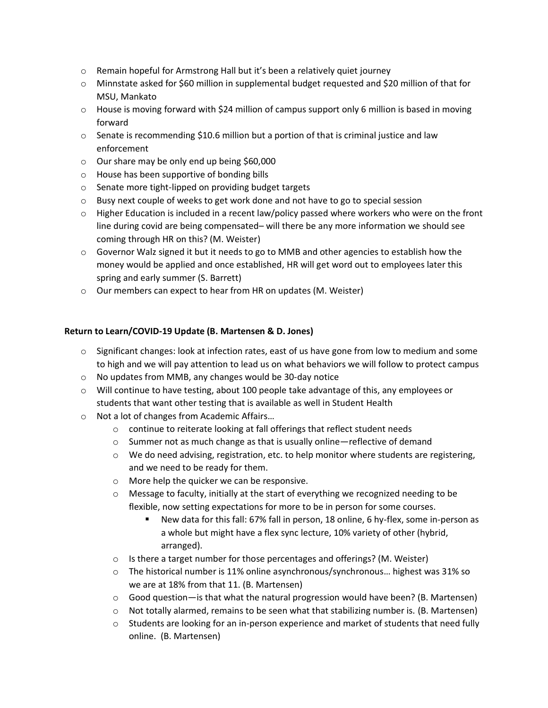- $\circ$  Remain hopeful for Armstrong Hall but it's been a relatively quiet journey
- o Minnstate asked for \$60 million in supplemental budget requested and \$20 million of that for MSU, Mankato
- $\circ$  House is moving forward with \$24 million of campus support only 6 million is based in moving forward
- $\circ$  Senate is recommending \$10.6 million but a portion of that is criminal justice and law enforcement
- o Our share may be only end up being \$60,000
- o House has been supportive of bonding bills
- o Senate more tight-lipped on providing budget targets
- $\circ$  Busy next couple of weeks to get work done and not have to go to special session
- $\circ$  Higher Education is included in a recent law/policy passed where workers who were on the front line during covid are being compensated– will there be any more information we should see coming through HR on this? (M. Weister)
- $\circ$  Governor Walz signed it but it needs to go to MMB and other agencies to establish how the money would be applied and once established, HR will get word out to employees later this spring and early summer (S. Barrett)
- o Our members can expect to hear from HR on updates (M. Weister)

#### **Return to Learn/COVID-19 Update (B. Martensen & D. Jones)**

- $\circ$  Significant changes: look at infection rates, east of us have gone from low to medium and some to high and we will pay attention to lead us on what behaviors we will follow to protect campus
- o No updates from MMB, any changes would be 30-day notice
- $\circ$  Will continue to have testing, about 100 people take advantage of this, any employees or students that want other testing that is available as well in Student Health
- o Not a lot of changes from Academic Affairs…
	- o continue to reiterate looking at fall offerings that reflect student needs
	- o Summer not as much change as that is usually online—reflective of demand
	- $\circ$  We do need advising, registration, etc. to help monitor where students are registering, and we need to be ready for them.
	- o More help the quicker we can be responsive.
	- $\circ$  Message to faculty, initially at the start of everything we recognized needing to be flexible, now setting expectations for more to be in person for some courses.
		- New data for this fall: 67% fall in person, 18 online, 6 hy-flex, some in-person as a whole but might have a flex sync lecture, 10% variety of other (hybrid, arranged).
	- $\circ$  Is there a target number for those percentages and offerings? (M. Weister)
	- $\circ$  The historical number is 11% online asynchronous/synchronous... highest was 31% so we are at 18% from that 11. (B. Martensen)
	- $\circ$  Good question—is that what the natural progression would have been? (B. Martensen)
	- $\circ$  Not totally alarmed, remains to be seen what that stabilizing number is. (B. Martensen)
	- $\circ$  Students are looking for an in-person experience and market of students that need fully online. (B. Martensen)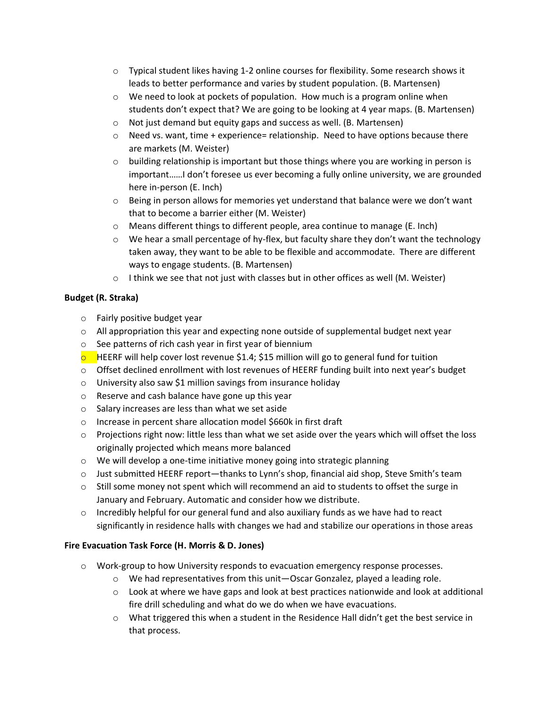- $\circ$  Typical student likes having 1-2 online courses for flexibility. Some research shows it leads to better performance and varies by student population. (B. Martensen)
- $\circ$  We need to look at pockets of population. How much is a program online when students don't expect that? We are going to be looking at 4 year maps. (B. Martensen)
- o Not just demand but equity gaps and success as well. (B. Martensen)
- $\circ$  Need vs. want, time + experience= relationship. Need to have options because there are markets (M. Weister)
- $\circ$  building relationship is important but those things where you are working in person is important……I don't foresee us ever becoming a fully online university, we are grounded here in-person (E. Inch)
- $\circ$  Being in person allows for memories yet understand that balance were we don't want that to become a barrier either (M. Weister)
- o Means different things to different people, area continue to manage (E. Inch)
- $\circ$  We hear a small percentage of hy-flex, but faculty share they don't want the technology taken away, they want to be able to be flexible and accommodate. There are different ways to engage students. (B. Martensen)
- $\circ$  I think we see that not just with classes but in other offices as well (M. Weister)

## **Budget (R. Straka)**

- o Fairly positive budget year
- o All appropriation this year and expecting none outside of supplemental budget next year
- o See patterns of rich cash year in first year of biennium
- $\circ$  HEERF will help cover lost revenue \$1.4; \$15 million will go to general fund for tuition
- $\circ$  Offset declined enrollment with lost revenues of HEERF funding built into next year's budget
- o University also saw \$1 million savings from insurance holiday
- o Reserve and cash balance have gone up this year
- o Salary increases are less than what we set aside
- o Increase in percent share allocation model \$660k in first draft
- $\circ$  Projections right now: little less than what we set aside over the years which will offset the loss originally projected which means more balanced
- o We will develop a one-time initiative money going into strategic planning
- o Just submitted HEERF report—thanks to Lynn's shop, financial aid shop, Steve Smith's team
- $\circ$  Still some money not spent which will recommend an aid to students to offset the surge in January and February. Automatic and consider how we distribute.
- $\circ$  Incredibly helpful for our general fund and also auxiliary funds as we have had to react significantly in residence halls with changes we had and stabilize our operations in those areas

## **Fire Evacuation Task Force (H. Morris & D. Jones)**

- $\circ$  Work-group to how University responds to evacuation emergency response processes.
	- $\circ$  We had representatives from this unit—Oscar Gonzalez, played a leading role.
	- $\circ$  Look at where we have gaps and look at best practices nationwide and look at additional fire drill scheduling and what do we do when we have evacuations.
	- $\circ$  What triggered this when a student in the Residence Hall didn't get the best service in that process.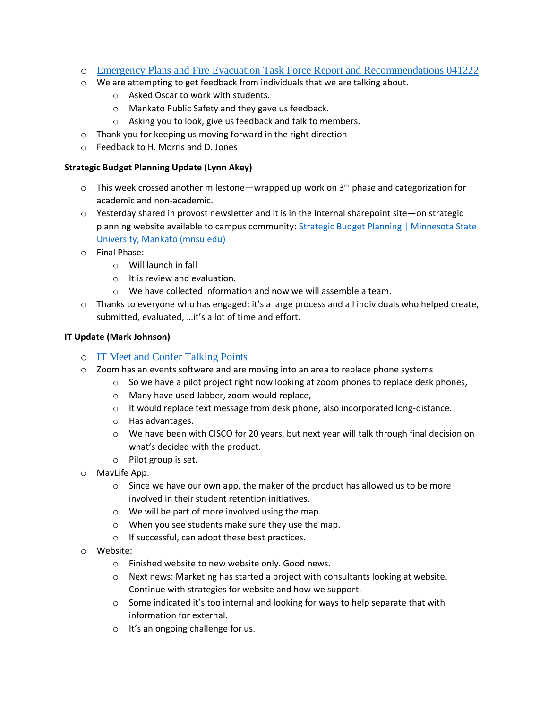- o [Emergency Plans and Fire Evacuation Task Force Report and Recommendations 041222](https://mnscu-my.sharepoint.com/:w:/g/personal/dy6217wl_minnstate_edu/Ee40kNJMCKhGpaKI0U-rrqIB-QpRTypMPXnbwjxFb-Wmmw?e=FG1hle)
- o We are attempting to get feedback from individuals that we are talking about.
	- o Asked Oscar to work with students.
	- o Mankato Public Safety and they gave us feedback.
	- o Asking you to look, give us feedback and talk to members.
- o Thank you for keeping us moving forward in the right direction
- o Feedback to H. Morris and D. Jones

### **Strategic Budget Planning Update (Lynn Akey)**

- $\circ$  This week crossed another milestone—wrapped up work on 3<sup>rd</sup> phase and categorization for academic and non-academic.
- $\circ$  Yesterday shared in provost newsletter and it is in the internal sharepoint site—on strategic planning website available to campus community: [Strategic Budget Planning | Minnesota State](https://www.mnsu.edu/about-the-university/student-success-analytics-and-integrated-planning/integrated-planning/strategic-budget-planning/)  [University, Mankato \(mnsu.edu\)](https://www.mnsu.edu/about-the-university/student-success-analytics-and-integrated-planning/integrated-planning/strategic-budget-planning/)
- o Final Phase:
	- o Will launch in fall
	- o It is review and evaluation.
	- o We have collected information and now we will assemble a team.
- $\circ$  Thanks to everyone who has engaged: it's a large process and all individuals who helped create, submitted, evaluated, …it's a lot of time and effort.

### **IT Update (Mark Johnson)**

- o [IT Meet and Confer Talking Points](https://mnscu-my.sharepoint.com/:b:/g/personal/dy6217wl_minnstate_edu/EYAZG89h4qlAjMxUklsPY_gBmh3Jo6ntI0kcaKcN22D7ag?e=bNWanb)
- $\circ$  Zoom has an events software and are moving into an area to replace phone systems
	- $\circ$  So we have a pilot project right now looking at zoom phones to replace desk phones,
	- o Many have used Jabber, zoom would replace,
	- $\circ$  It would replace text message from desk phone, also incorporated long-distance.
	- o Has advantages.
	- $\circ$  We have been with CISCO for 20 years, but next year will talk through final decision on what's decided with the product.
	- o Pilot group is set.
- o MavLife App:
	- $\circ$  Since we have our own app, the maker of the product has allowed us to be more involved in their student retention initiatives.
	- o We will be part of more involved using the map.
	- o When you see students make sure they use the map.
	- o If successful, can adopt these best practices.
- o Website:
	- o Finished website to new website only. Good news.
	- $\circ$  Next news: Marketing has started a project with consultants looking at website. Continue with strategies for website and how we support.
	- $\circ$  Some indicated it's too internal and looking for ways to help separate that with information for external.
	- o It's an ongoing challenge for us.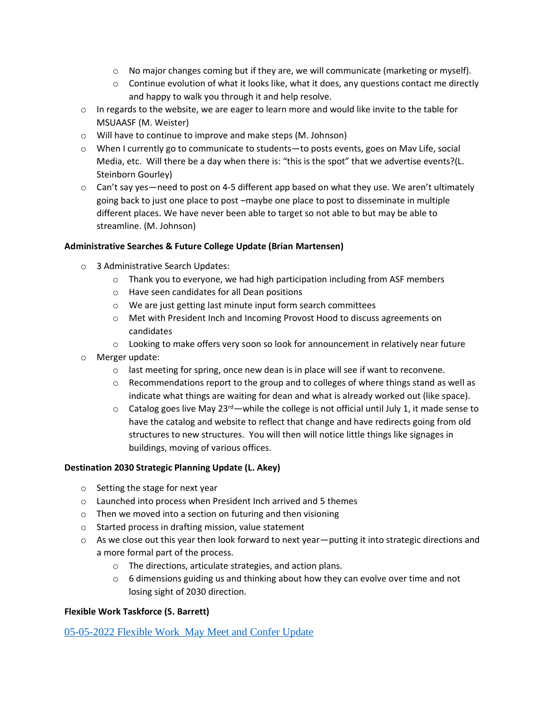- $\circ$  No major changes coming but if they are, we will communicate (marketing or myself).
- $\circ$  Continue evolution of what it looks like, what it does, any questions contact me directly and happy to walk you through it and help resolve.
- $\circ$  In regards to the website, we are eager to learn more and would like invite to the table for MSUAASF (M. Weister)
- o Will have to continue to improve and make steps (M. Johnson)
- o When I currently go to communicate to students—to posts events, goes on Mav Life, social Media, etc. Will there be a day when there is: "this is the spot" that we advertise events?(L. Steinborn Gourley)
- $\circ$  Can't say yes—need to post on 4-5 different app based on what they use. We aren't ultimately going back to just one place to post –maybe one place to post to disseminate in multiple different places. We have never been able to target so not able to but may be able to streamline. (M. Johnson)

### **Administrative Searches & Future College Update (Brian Martensen)**

- o 3 Administrative Search Updates:
	- o Thank you to everyone, we had high participation including from ASF members
	- o Have seen candidates for all Dean positions
	- o We are just getting last minute input form search committees
	- o Met with President Inch and Incoming Provost Hood to discuss agreements on candidates
	- $\circ$  Looking to make offers very soon so look for announcement in relatively near future
- o Merger update:
	- $\circ$  last meeting for spring, once new dean is in place will see if want to reconvene.
	- $\circ$  Recommendations report to the group and to colleges of where things stand as well as indicate what things are waiting for dean and what is already worked out (like space).
	- $\circ$  Catalog goes live May 23<sup>rd</sup>—while the college is not official until July 1, it made sense to have the catalog and website to reflect that change and have redirects going from old structures to new structures. You will then will notice little things like signages in buildings, moving of various offices.

#### **Destination 2030 Strategic Planning Update (L. Akey)**

- o Setting the stage for next year
- o Launched into process when President Inch arrived and 5 themes
- o Then we moved into a section on futuring and then visioning
- o Started process in drafting mission, value statement
- $\circ$  As we close out this year then look forward to next year—putting it into strategic directions and a more formal part of the process.
	- o The directions, articulate strategies, and action plans.
	- $\circ$  6 dimensions guiding us and thinking about how they can evolve over time and not losing sight of 2030 direction.

#### **Flexible Work Taskforce (S. Barrett)**

[05-05-2022 Flexible Work\\_May Meet and Confer Update](https://mnscu-my.sharepoint.com/:b:/g/personal/dy6217wl_minnstate_edu/EVQhFQxnWYpJt8uL9SPdkqgBctx_Cax3INDQ9h01eY0JuQ?e=Dt5WBu)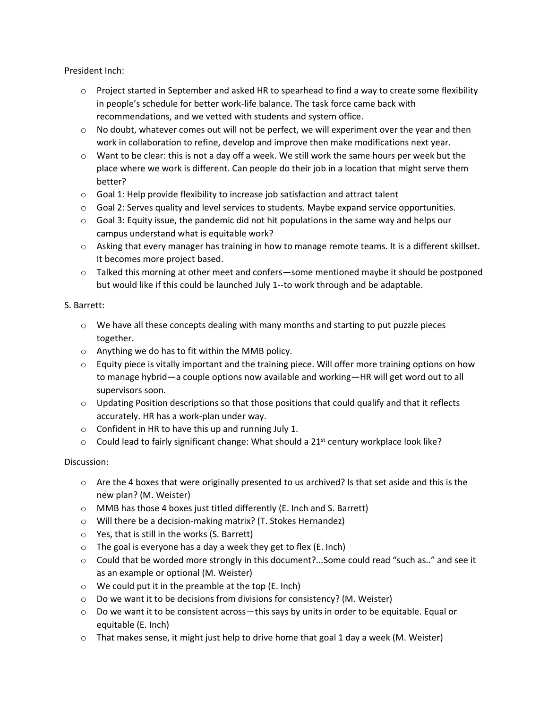President Inch:

- $\circ$  Project started in September and asked HR to spearhead to find a way to create some flexibility in people's schedule for better work-life balance. The task force came back with recommendations, and we vetted with students and system office.
- $\circ$  No doubt, whatever comes out will not be perfect, we will experiment over the year and then work in collaboration to refine, develop and improve then make modifications next year.
- $\circ$  Want to be clear: this is not a day off a week. We still work the same hours per week but the place where we work is different. Can people do their job in a location that might serve them better?
- $\circ$  Goal 1: Help provide flexibility to increase job satisfaction and attract talent
- $\circ$  Goal 2: Serves quality and level services to students. Maybe expand service opportunities.
- $\circ$  Goal 3: Equity issue, the pandemic did not hit populations in the same way and helps our campus understand what is equitable work?
- o Asking that every manager has training in how to manage remote teams. It is a different skillset. It becomes more project based.
- $\circ$  Talked this morning at other meet and confers—some mentioned maybe it should be postponed but would like if this could be launched July 1--to work through and be adaptable.

### S. Barrett:

- $\circ$  We have all these concepts dealing with many months and starting to put puzzle pieces together.
- o Anything we do has to fit within the MMB policy.
- o Equity piece is vitally important and the training piece. Will offer more training options on how to manage hybrid—a couple options now available and working—HR will get word out to all supervisors soon.
- $\circ$  Updating Position descriptions so that those positions that could qualify and that it reflects accurately. HR has a work-plan under way.
- o Confident in HR to have this up and running July 1.
- $\circ$  Could lead to fairly significant change: What should a 21<sup>st</sup> century workplace look like?

## Discussion:

- $\circ$  Are the 4 boxes that were originally presented to us archived? Is that set aside and this is the new plan? (M. Weister)
- o MMB has those 4 boxes just titled differently (E. Inch and S. Barrett)
- o Will there be a decision-making matrix? (T. Stokes Hernandez)
- o Yes, that is still in the works (S. Barrett)
- $\circ$  The goal is everyone has a day a week they get to flex (E. Inch)
- o Could that be worded more strongly in this document?...Some could read "such as.." and see it as an example or optional (M. Weister)
- $\circ$  We could put it in the preamble at the top (E. Inch)
- o Do we want it to be decisions from divisions for consistency? (M. Weister)
- $\circ$  Do we want it to be consistent across—this says by units in order to be equitable. Equal or equitable (E. Inch)
- $\circ$  That makes sense, it might just help to drive home that goal 1 day a week (M. Weister)